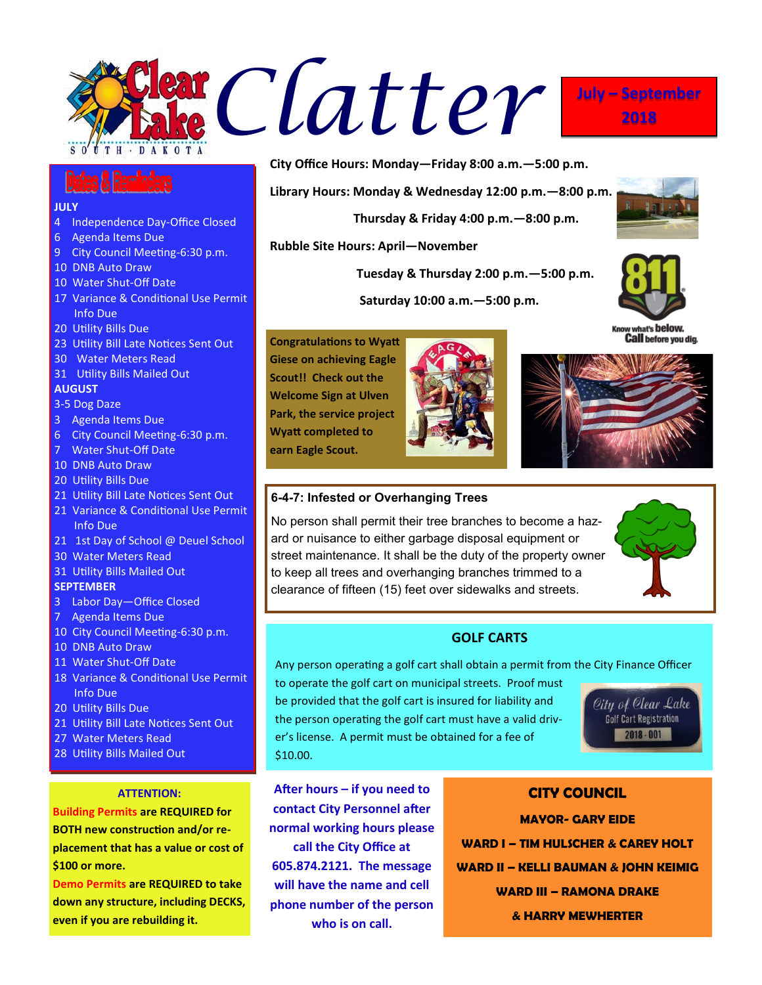

#### **JULY**

- 4 Independence Day-Office Closed
- 6 Agenda Items Due
- 9 City Council Meeting-6:30 p.m.
- 10 DNB Auto Draw
- 10 Water Shut-Off Date
- 17 Variance & Conditional Use Permit Info Due
- 20 Utility Bills Due
- 23 Utility Bill Late Notices Sent Out
- 30 Water Meters Read
- 31 Utility Bills Mailed Out

### **AUGUST**

- 3-5 Dog Daze
- 3 Agenda Items Due
- 6 City Council Meeting-6:30 p.m.
- 7 Water Shut-Off Date
- 10 DNB Auto Draw
- 20 Utility Bills Due
- 21 Utility Bill Late Notices Sent Out
- 21 Variance & Conditional Use Permit Info Due
- 21 1st Day of School @ Deuel School
- 30 Water Meters Read
- 31 Utility Bills Mailed Out

#### **SEPTEMBER**

- 3 Labor Day—Office Closed
- 7 Agenda Items Due
- 10 City Council Meeting-6:30 p.m.
- 10 DNB Auto Draw
- 11 Water Shut-Off Date
- 18 Variance & Conditional Use Permit Info Due
- 20 Utility Bills Due
- 21 Utility Bill Late Notices Sent Out
- 27 Water Meters Read
- 28 Utility Bills Mailed Out

# **ATTENTION:**

**Building Permits are REQUIRED for BOTH new construction and/or replacement that has a value or cost of \$100 or more.**

**Demo Permits are REQUIRED to take down any structure, including DECKS, even if you are rebuilding it.**

**City Office Hours: Monday—Friday 8:00 a.m.—5:00 p.m.**

**Library Hours: Monday & Wednesday 12:00 p.m.—8:00 p.m.**

 **Thursday & Friday 4:00 p.m.—8:00 p.m.**

**Rubble Site Hours: April—November**

 **Tuesday & Thursday 2:00 p.m.—5:00 p.m.**

 **Saturday 10:00 a.m.—5:00 p.m.**



**Congratulations to Wyatt Giese on achieving Eagle Scout!! Check out the Welcome Sign at Ulven Park, the service project Wyatt completed to earn Eagle Scout.**





## **6-4-7: Infested or Overhanging Trees**

No person shall permit their tree branches to become a hazard or nuisance to either garbage disposal equipment or street maintenance. It shall be the duty of the property owner to keep all trees and overhanging branches trimmed to a clearance of fifteen (15) feet over sidewalks and streets.



# **GOLF CARTS**

Any person operating a golf cart shall obtain a permit from the City Finance Officer

to operate the golf cart on municipal streets. Proof must be provided that the golf cart is insured for liability and the person operating the golf cart must have a valid driver's license. A permit must be obtained for a fee of \$10.00.



**After hours – if you need to contact City Personnel after normal working hours please call the City Office at 605.874.2121. The message will have the name and cell phone number of the person who is on call.**

**CITY COUNCIL MAYOR- GARY EIDE WARD I – TIM HULSCHER & CAREY HOLT WARD II – KELLI BAUMAN & JOHN KEIMIG WARD III – RAMONA DRAKE & HARRY MEWHERTER**



**2018**